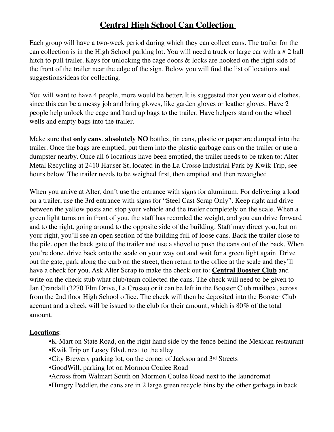## **Central High School Can Collection**

Each group will have a two-week period during which they can collect cans. The trailer for the can collection is in the High School parking lot. You will need a truck or large car with a # 2 ball hitch to pull trailer. Keys for unlocking the cage doors  $\&$  locks are hooked on the right side of the front of the trailer near the edge of the sign. Below you will find the list of locations and suggestions/ideas for collecting.

You will want to have 4 people, more would be better. It is suggested that you wear old clothes, since this can be a messy job and bring gloves, like garden gloves or leather gloves. Have 2 people help unlock the cage and hand up bags to the trailer. Have helpers stand on the wheel wells and empty bags into the trailer.

Make sure that **only cans**, **absolutely NO** bottles, tin cans, plastic or paper are dumped into the trailer. Once the bags are emptied, put them into the plastic garbage cans on the trailer or use a dumpster nearby. Once all 6 locations have been emptied, the trailer needs to be taken to: Alter Metal Recycling at 2410 Hauser St, located in the La Crosse Industrial Park by Kwik Trip, see hours below. The trailer needs to be weighed first, then emptied and then reweighed.

When you arrive at Alter, don't use the entrance with signs for aluminum. For delivering a load on a trailer, use the 3rd entrance with signs for "Steel Cast Scrap Only". Keep right and drive between the yellow posts and stop your vehicle and the trailer completely on the scale. When a green light turns on in front of you, the staff has recorded the weight, and you can drive forward and to the right, going around to the opposite side of the building. Staff may direct you, but on your right, you'll see an open section of the building full of loose cans. Back the trailer close to the pile, open the back gate of the trailer and use a shovel to push the cans out of the back. When you're done, drive back onto the scale on your way out and wait for a green light again. Drive out the gate, park along the curb on the street, then return to the office at the scale and they'll have a check for you. Ask Alter Scrap to make the check out to: **Central Booster Club** and write on the check stub what club/team collected the cans. The check will need to be given to Jan Crandall (3270 Elm Drive, La Crosse) or it can be left in the Booster Club mailbox, across from the 2nd floor High School office. The check will then be deposited into the Booster Club account and a check will be issued to the club for their amount, which is 80% of the total amount.

## **Locations**:

- K-Mart on State Road, on the right hand side by the fence behind the Mexican restaurant • Kwik Trip on Losey Blvd, next to the alley
- City Brewery parking lot, on the corner of Jackson and 3rd Streets
- GoodWill, parking lot on Mormon Coulee Road
- •Across from Walmart South on Mormon Coulee Road next to the laundromat
- Hungry Peddler, the cans are in 2 large green recycle bins by the other garbage in back